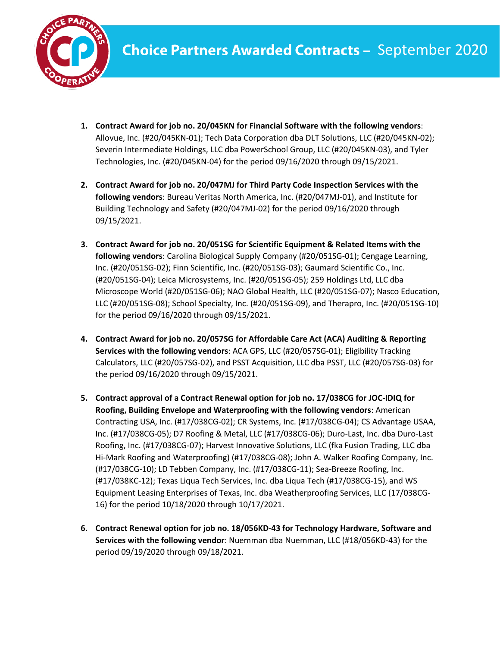

- **1. Contract Award for job no. 20/045KN for Financial Software with the following vendors**: Allovue, Inc. (#20/045KN-01); Tech Data Corporation dba DLT Solutions, LLC (#20/045KN-02); Severin Intermediate Holdings, LLC dba PowerSchool Group, LLC (#20/045KN-03), and Tyler Technologies, Inc. (#20/045KN-04) for the period 09/16/2020 through 09/15/2021.
- **2. Contract Award for job no. 20/047MJ for Third Party Code Inspection Services with the following vendors**: Bureau Veritas North America, Inc. (#20/047MJ-01), and Institute for Building Technology and Safety (#20/047MJ-02) for the period 09/16/2020 through 09/15/2021.
- **3. Contract Award for job no. 20/051SG for Scientific Equipment & Related Items with the following vendors**: Carolina Biological Supply Company (#20/051SG-01); Cengage Learning, Inc. (#20/051SG-02); Finn Scientific, Inc. (#20/051SG-03); Gaumard Scientific Co., Inc. (#20/051SG-04); Leica Microsystems, Inc. (#20/051SG-05); 259 Holdings Ltd, LLC dba Microscope World (#20/051SG-06); NAO Global Health, LLC (#20/051SG-07); Nasco Education, LLC (#20/051SG-08); School Specialty, Inc. (#20/051SG-09), and Therapro, Inc. (#20/051SG-10) for the period 09/16/2020 through 09/15/2021.
- **4. Contract Award for job no. 20/057SG for Affordable Care Act (ACA) Auditing & Reporting Services with the following vendors**: ACA GPS, LLC (#20/057SG-01); Eligibility Tracking Calculators, LLC (#20/057SG-02), and PSST Acquisition, LLC dba PSST, LLC (#20/057SG-03) for the period 09/16/2020 through 09/15/2021.
- **5. Contract approval of a Contract Renewal option for job no. 17/038CG for JOC-IDIQ for Roofing, Building Envelope and Waterproofing with the following vendors**: American Contracting USA, Inc. (#17/038CG-02); CR Systems, Inc. (#17/038CG-04); CS Advantage USAA, Inc. (#17/038CG-05); D7 Roofing & Metal, LLC (#17/038CG-06); Duro-Last, Inc. dba Duro-Last Roofing, Inc. (#17/038CG-07); Harvest Innovative Solutions, LLC (fka Fusion Trading, LLC dba Hi-Mark Roofing and Waterproofing) (#17/038CG-08); John A. Walker Roofing Company, Inc. (#17/038CG-10); LD Tebben Company, Inc. (#17/038CG-11); Sea-Breeze Roofing, Inc. (#17/038KC-12); Texas Liqua Tech Services, Inc. dba Liqua Tech (#17/038CG-15), and WS Equipment Leasing Enterprises of Texas, Inc. dba Weatherproofing Services, LLC (17/038CG-16) for the period 10/18/2020 through 10/17/2021.
- **6. Contract Renewal option for job no. 18/056KD-43 for Technology Hardware, Software and Services with the following vendor**: Nuemman dba Nuemman, LLC (#18/056KD-43) for the period 09/19/2020 through 09/18/2021.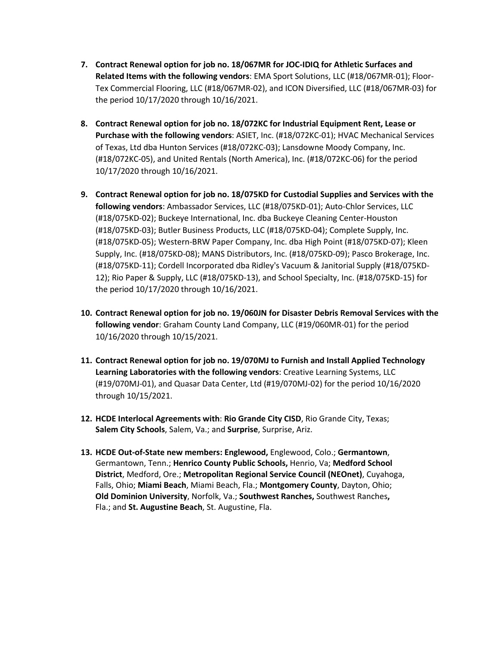- **7. Contract Renewal option for job no. 18/067MR for JOC-IDIQ for Athletic Surfaces and Related Items with the following vendors**: EMA Sport Solutions, LLC (#18/067MR-01); Floor-Tex Commercial Flooring, LLC (#18/067MR-02), and ICON Diversified, LLC (#18/067MR-03) for the period 10/17/2020 through 10/16/2021.
- **8. Contract Renewal option for job no. 18/072KC for Industrial Equipment Rent, Lease or Purchase with the following vendors**: ASIET, Inc. (#18/072KC-01); HVAC Mechanical Services of Texas, Ltd dba Hunton Services (#18/072KC-03); Lansdowne Moody Company, Inc. (#18/072KC-05), and United Rentals (North America), Inc. (#18/072KC-06) for the period 10/17/2020 through 10/16/2021.
- **9. Contract Renewal option for job no. 18/075KD for Custodial Supplies and Services with the following vendors**: Ambassador Services, LLC (#18/075KD-01); Auto-Chlor Services, LLC (#18/075KD-02); Buckeye International, Inc. dba Buckeye Cleaning Center-Houston (#18/075KD-03); Butler Business Products, LLC (#18/075KD-04); Complete Supply, Inc. (#18/075KD-05); Western-BRW Paper Company, Inc. dba High Point (#18/075KD-07); Kleen Supply, Inc. (#18/075KD-08); MANS Distributors, Inc. (#18/075KD-09); Pasco Brokerage, Inc. (#18/075KD-11); Cordell Incorporated dba Ridley's Vacuum & Janitorial Supply (#18/075KD-12); Rio Paper & Supply, LLC (#18/075KD-13), and School Specialty, Inc. (#18/075KD-15) for the period 10/17/2020 through 10/16/2021.
- **10. Contract Renewal option for job no. 19/060JN for Disaster Debris Removal Services with the following vendor**: Graham County Land Company, LLC (#19/060MR-01) for the period 10/16/2020 through 10/15/2021.
- **11. Contract Renewal option for job no. 19/070MJ to Furnish and Install Applied Technology Learning Laboratories with the following vendors**: Creative Learning Systems, LLC (#19/070MJ-01), and Quasar Data Center, Ltd (#19/070MJ-02) for the period 10/16/2020 through 10/15/2021.
- **12. HCDE Interlocal Agreements with**: **Rio Grande City CISD**, Rio Grande City, Texas; **Salem City Schools**, Salem, Va.; and **Surprise**, Surprise, Ariz.
- **13. HCDE Out-of-State new members: Englewood,** Englewood, Colo.; **Germantown**, Germantown, Tenn.; **Henrico County Public Schools,** Henrio, Va; **Medford School District**, Medford, Ore.; **Metropolitan Regional Service Council (NEOnet)**, Cuyahoga, Falls, Ohio; **Miami Beach**, Miami Beach, Fla.; **Montgomery County**, Dayton, Ohio; **Old Dominion University**, Norfolk, Va.; **Southwest Ranches,** Southwest Ranches**,**  Fla.; and **St. Augustine Beach**, St. Augustine, Fla.